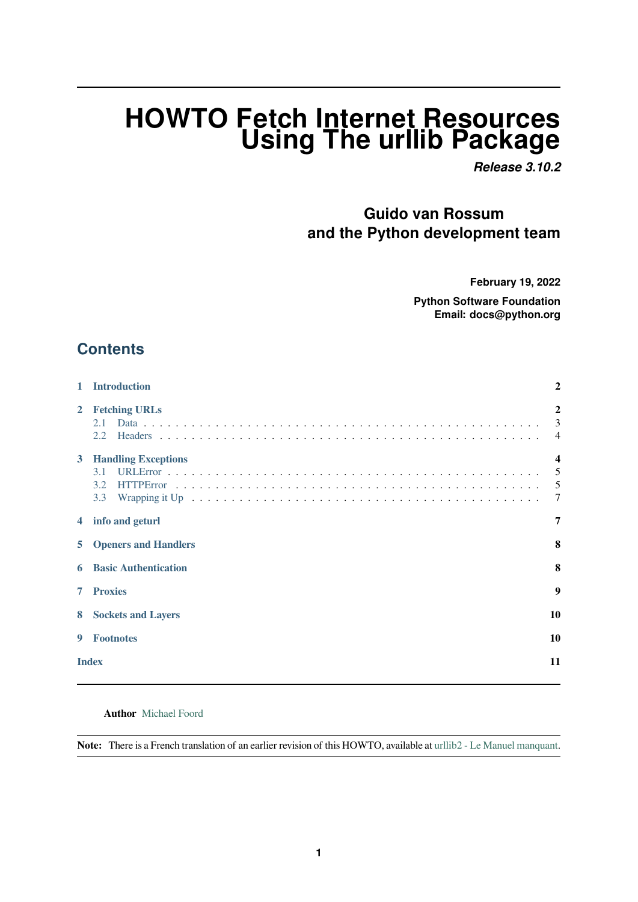# **HOWTO Fetch Internet Resources Using The urllib Package**

*Release 3.10.2*

**Guido van Rossum and the Python development team**

**February 19, 2022**

**Python Software Foundation Email: docs@python.org**

### **Contents**

| 1            | <b>Introduction</b>                             | $\overline{2}$                      |
|--------------|-------------------------------------------------|-------------------------------------|
| $\mathbf{2}$ | <b>Fetching URLs</b><br>2.1<br>2.2              | $\mathbf{2}$<br>3<br>$\overline{4}$ |
| 3            | <b>Handling Exceptions</b><br>3.1<br>3.2<br>3.3 | $\boldsymbol{4}$<br>5<br>5          |
| 4            | info and geturl                                 | $\overline{7}$                      |
| 5            | <b>Openers and Handlers</b>                     | 8                                   |
| 6            | <b>Basic Authentication</b>                     | 8                                   |
| 7            | <b>Proxies</b>                                  | 9                                   |
| 8            | <b>Sockets and Layers</b>                       | 10                                  |
| 9            | <b>Footnotes</b>                                | 10                                  |
| <b>Index</b> |                                                 | 11                                  |
|              |                                                 |                                     |

#### **Author** Michael Foord

**Note:** There is a French translation of an earlier revision of this HOWTO, available at urllib2 - Le Manuel manquant.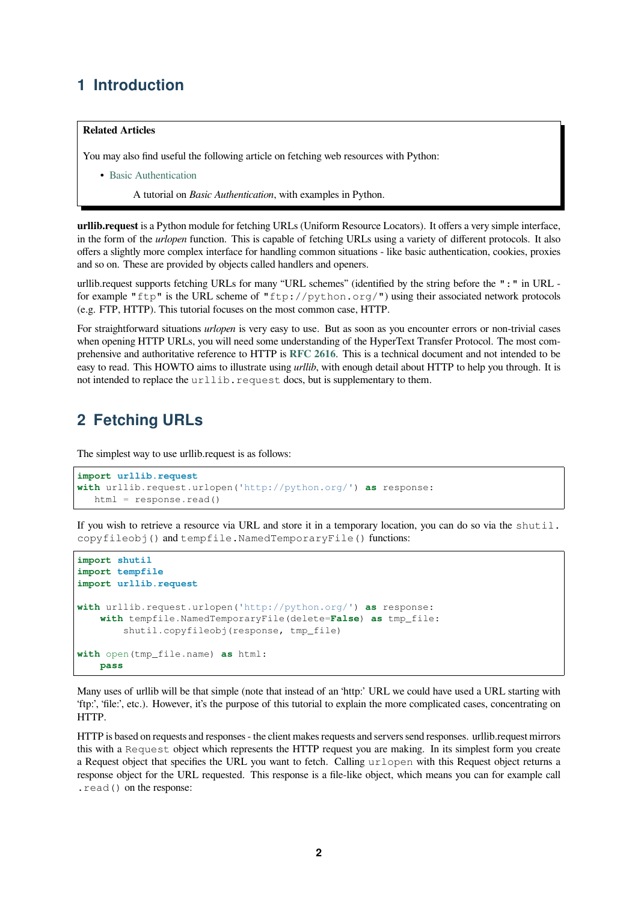### **1 Introduction**

#### <span id="page-1-0"></span>**Related Articles**

You may also find useful the following article on fetching web resources with Python:

• Basic Authentication

A tutorial on *Basic Authentication*, with examples in Python.

**urllib.request** [is a Python mo](http://www.voidspace.org.uk/python/articles/authentication.shtml)dule for fetching URLs (Uniform Resource Locators). It offers a very simple interface, in the form of the *urlopen* function. This is capable of fetching URLs using a variety of different protocols. It also offers a slightly more complex interface for handling common situations - like basic authentication, cookies, proxies and so on. These are provided by objects called handlers and openers.

urllib.request supports fetching URLs for many "URL schemes" (identified by the string before the ":" in URL for example "ftp" is the URL scheme of "ftp://python.org/") using their associated network protocols (e.g. FTP, HTTP). This tutorial focuses on the most common case, HTTP.

For straightforward situations *urlopen* is very easy to use. But as soon as you encounter errors or non-trivial cases when opening HTTP URLs, you will need some understanding of the HyperText Transfer Protocol. The most comprehensive and authoritative reference to HTTP is **RFC 2616**. This is a technical document and not intended to be easy to read. This HOWTO aims to illustrate using *urllib*, with enough detail about HTTP to help you through. It is not intended to replace the urllib.request docs, but is supplementary to them.

### **2 Fetching URLs**

<span id="page-1-1"></span>The simplest way to use urllib.request is as follows:

```
import urllib.request
with urllib.request.urlopen('http://python.org/') as response:
   html = response.read()
```
If you wish to retrieve a resource via URL and store it in a temporary location, you can do so via the shutil. copyfileobj() and tempfile.NamedTemporaryFile() functions:

```
import shutil
import tempfile
import urllib.request
with urllib.request.urlopen('http://python.org/') as response:
   with tempfile.NamedTemporaryFile(delete=False) as tmp_file:
        shutil.copyfileobj(response, tmp_file)
with open(tmp_file.name) as html:
   pass
```
Many uses of urllib will be that simple (note that instead of an 'http:' URL we could have used a URL starting with 'ftp:', 'file:', etc.). However, it's the purpose of this tutorial to explain the more complicated cases, concentrating on HTTP.

HTTP is based on requests and responses - the client makes requests and servers send responses. urllib.request mirrors this with a Request object which represents the HTTP request you are making. In its simplest form you create a Request object that specifies the URL you want to fetch. Calling urlopen with this Request object returns a response object for the URL requested. This response is a file-like object, which means you can for example call .read() on the response: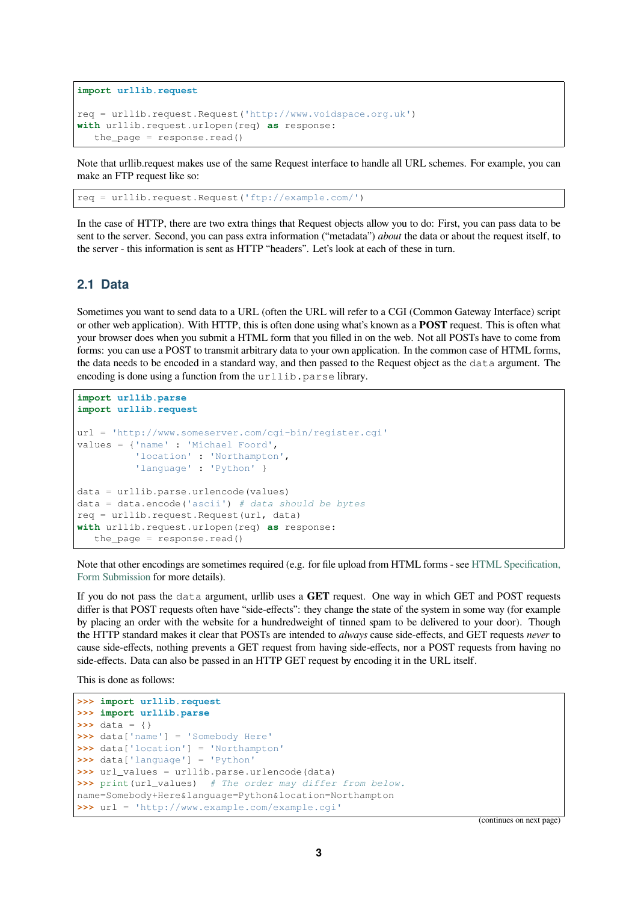```
import urllib.request
req = urllib.request.Request('http://www.voidspace.org.uk')
with urllib.request.urlopen(req) as response:
   the_page = response.read()
```
Note that urllib.request makes use of the same Request interface to handle all URL schemes. For example, you can make an FTP request like so:

req = urllib.request.Request('ftp://example.com/')

In the case of HTTP, there are two extra things that Request objects allow you to do: First, you can pass data to be sent to the server. Second, you can pass extra information ("metadata") *about* the data or about the request itself, to the server - this information is sent as HTTP "headers". Let's look at each of these in turn.

#### **2.1 Data**

<span id="page-2-0"></span>Sometimes you want to send data to a URL (often the URL will refer to a CGI (Common Gateway Interface) script or other web application). With HTTP, this is often done using what's known as a **POST** request. This is often what your browser does when you submit a HTML form that you filled in on the web. Not all POSTs have to come from forms: you can use a POST to transmit arbitrary data to your own application. In the common case of HTML forms, the data needs to be encoded in a standard way, and then passed to the Request object as the data argument. The encoding is done using a function from the urllib.parse library.

```
import urllib.parse
import urllib.request
url = 'http://www.someserver.com/cgi-bin/register.cgi'
values = {'name' : 'Michael Foord',
          'location' : 'Northampton',
          'language' : 'Python' }
data = urllib.parse.urlencode(values)
data = data.encode('ascii') # data should be bytes
req = urllib.request.Request(url, data)
with urllib.request.urlopen(req) as response:
   the\_page = response.read()
```
Note that other encodings are sometimes required (e.g. for file upload from HTML forms - see HTML Specification, Form Submission for more details).

If you do not pass the data argument, urllib uses a **GET** request. One way in which GET and POST requests differ is that POST requests often have "side-effects": they change the state of the system in some way (for example by placing an order with the website for a hundredweight of tinned spam to be delivered to [your door\). Though](https://www.w3.org/TR/REC-html40/interact/forms.html#h-17.13) [the HTTP standar](https://www.w3.org/TR/REC-html40/interact/forms.html#h-17.13)d makes it clear that POSTs are intended to *always* cause side-effects, and GET requests *never* to cause side-effects, nothing prevents a GET request from having side-effects, nor a POST requests from having no side-effects. Data can also be passed in an HTTP GET request by encoding it in the URL itself.

This is done as follows:

```
>>> import urllib.request
>>> import urllib.parse
>>> data = {}
>>> data['name'] = 'Somebody Here'
>>> data['location'] = 'Northampton'
>>> data['language'] = 'Python'
>>> url_values = urllib.parse.urlencode(data)
>>> print(url_values) # The order may differ from below.
name=Somebody+Here&language=Python&location=Northampton
>>> url = 'http://www.example.com/example.cgi'
```
(continues on next page)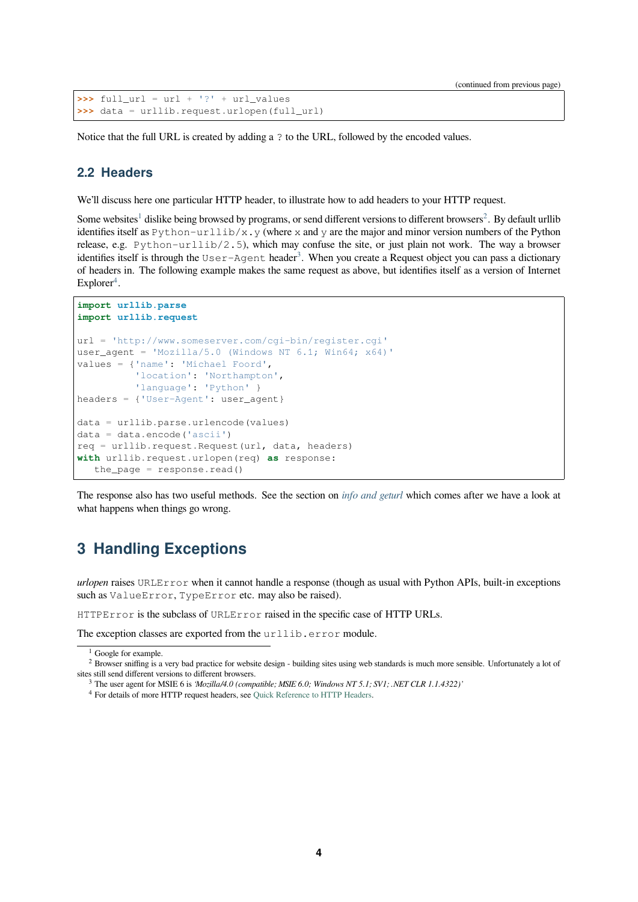```
\Rightarrow full url = url + '?' + url values
>>> data = urllib.request.urlopen(full_url)
```
Notice that the full URL is created by adding a ? to the URL, followed by the encoded values.

#### **2.2 Headers**

We'll discuss here one particular HTTP header, to illustrate how to add headers to your HTTP request.

<span id="page-3-0"></span>Some websites<sup>1</sup> dislike being browsed by programs, or send different versions to different browsers<sup>2</sup>. By default urllib identifies itself as Python-urllib/x.y (where x and y are the major and minor version numbers of the Python release, e.g.  $P$ ython-urllib/2.5), which may confuse the site, or just plain not work. The way a browser identifies itself is through the User-Agent header<sup>3</sup>. When you create a Request object you can pass a dictionary of headers in. [T](#page-3-2)he following example makes the same request as above, but identifies itself as a [v](#page-3-3)ersion of Internet  $Explorer<sup>4</sup>$ .

```
import urllib.parse
import urllib.request
url = 'http://www.someserver.com/cgi-bin/register.cgi'
user_agent = 'Mozilla/5.0 (Windows NT 6.1; Win64; x64)'
values = {'name': 'Michael Foord',
          'location': 'Northampton',
          'language': 'Python' }
headers = {'User-Agent': user_agent}
data = urllib.parse.urlencode(values)
data = data.encode('ascii')
req = urllib.request.Fequest(url, data, headers)with urllib.request.urlopen(req) as response:
   the_page = response.read()
```
The response also has two useful methods. See the section on *info and geturl* which comes after we have a look at what happens when things go wrong.

### **3 Handling Exceptions**

<span id="page-3-1"></span>*urlopen* raises URLError when it cannot handle a response (though as usual with Python APIs, built-in exceptions such as ValueError, TypeError etc. may also be raised).

HTTPError is the subclass of URLError raised in the specific case of HTTP URLs.

The exception classes are exported from the urllib.error module.

<sup>&</sup>lt;sup>1</sup> Google for example.

<sup>&</sup>lt;sup>2</sup> Browser sniffing is a very bad practice for website design - building sites using web standards is much more sensible. Unfortunately a lot of sites still send different versions to different browsers.

<sup>3</sup> The user agent for MSIE 6 is *'Mozilla/4.0 (compatible; MSIE 6.0; Windows NT 5.1; SV1; .NET CLR 1.1.4322)'*

<span id="page-3-4"></span><span id="page-3-3"></span><span id="page-3-2"></span><sup>4</sup> For details of more HTTP request headers, see Quick Reference to HTTP Headers.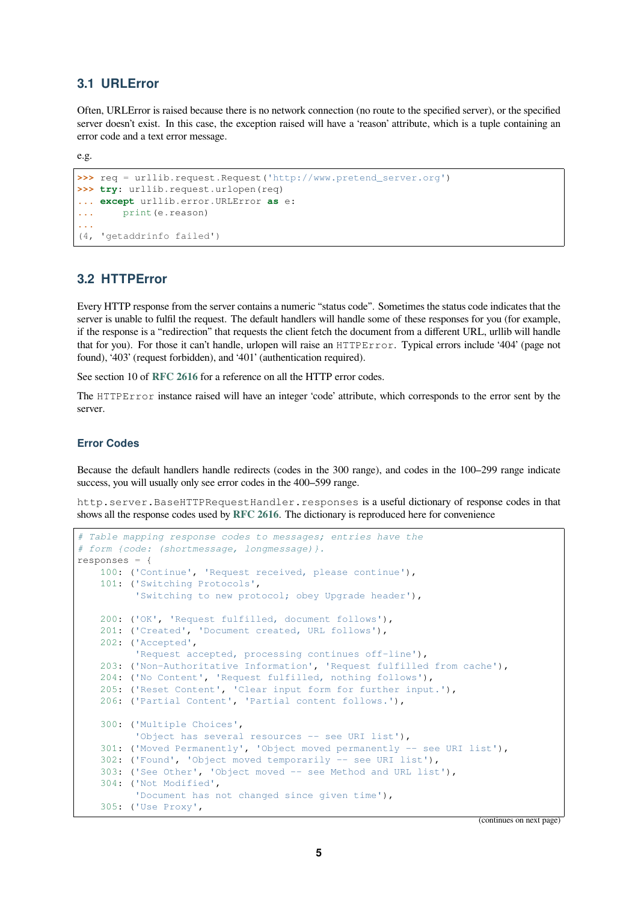#### **3.1 URLError**

Often, URLError is raised because there is no network connection (no route to the specified server), or the specified server doesn't exist. In this case, the exception raised will have a 'reason' attribute, which is a tuple containing an error code and a text error message.

<span id="page-4-0"></span>e.g.

```
>>> req = urllib.request.Request('http://www.pretend_server.org')
>>> try: urllib.request.urlopen(req)
... except urllib.error.URLError as e:
... print(e.reason)
...
(4, 'getaddrinfo failed')
```
#### **3.2 HTTPError**

<span id="page-4-1"></span>Every HTTP response from the server contains a numeric "status code". Sometimes the status code indicates that the server is unable to fulfil the request. The default handlers will handle some of these responses for you (for example, if the response is a "redirection" that requests the client fetch the document from a different URL, urllib will handle that for you). For those it can't handle, urlopen will raise an HTTPError. Typical errors include '404' (page not found), '403' (request forbidden), and '401' (authentication required).

See section 10 of **RFC 2616** for a reference on all the HTTP error codes.

The HTTPError instance raised will have an integer 'code' attribute, which corresponds to the error sent by the server.

#### **Error Codes**

Because the default handlers handle redirects (codes in the 300 range), and codes in the 100–299 range indicate success, you will usually only see error codes in the 400–599 range.

http.server.BaseHTTPRequestHandler.responses is a useful dictionary of response codes in that shows all the response codes used by **RFC 2616**. The dictionary is reproduced here for convenience

```
# Table mapping response codes to messages; entries have the
# form {code: (shortmessage, longmessage)}.
responses = {
   100: ('Continue', 'Request received, please continue'),
    101: ('Switching Protocols',
          'Switching to new protocol; obey Upgrade header'),
    200: ('OK', 'Request fulfilled, document follows'),
    201: ('Created', 'Document created, URL follows'),
    202: ('Accepted',
          'Request accepted, processing continues off-line'),
    203: ('Non-Authoritative Information', 'Request fulfilled from cache'),
    204: ('No Content', 'Request fulfilled, nothing follows'),
    205: ('Reset Content', 'Clear input form for further input.'),
   206: ('Partial Content', 'Partial content follows.'),
    300: ('Multiple Choices',
          'Object has several resources -- see URI list'),
    301: ('Moved Permanently', 'Object moved permanently -- see URI list'),
    302: ('Found', 'Object moved temporarily -- see URI list'),
    303: ('See Other', 'Object moved -- see Method and URL list'),
    304: ('Not Modified',
          'Document has not changed since given time'),
    305: ('Use Proxy',
```
(continues on next page)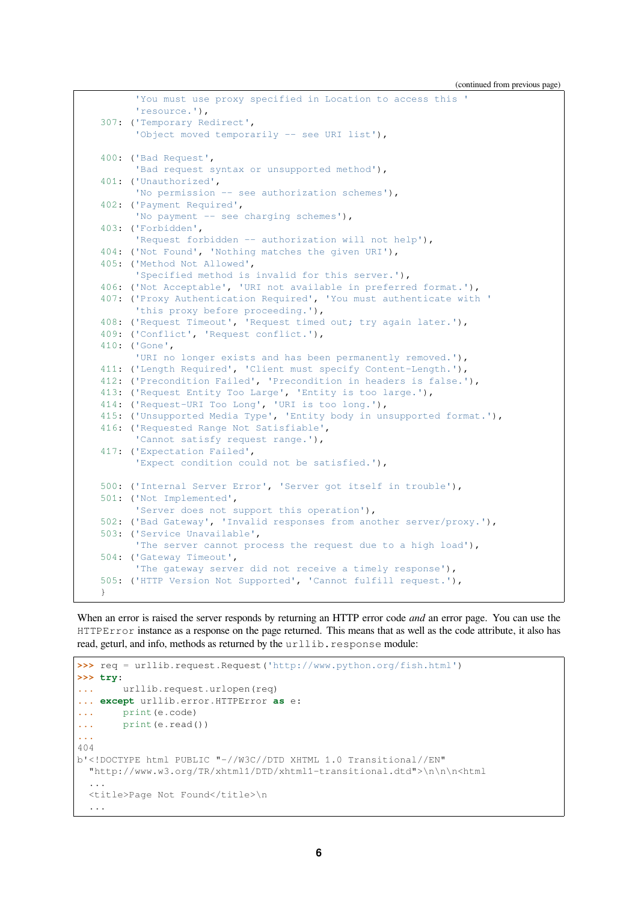(continued from previous page)

```
'You must use proxy specified in Location to access this '
      'resource.'),
307: ('Temporary Redirect',
      'Object moved temporarily -- see URI list'),
400: ('Bad Request',
      'Bad request syntax or unsupported method'),
401: ('Unauthorized',
      'No permission -- see authorization schemes'),
402: ('Payment Required',
      'No payment -- see charging schemes'),
403: ('Forbidden',
      'Request forbidden -- authorization will not help'),
404: ('Not Found', 'Nothing matches the given URI'),
405: ('Method Not Allowed',
      'Specified method is invalid for this server.'),
406: ('Not Acceptable', 'URI not available in preferred format.'),
407: ('Proxy Authentication Required', 'You must authenticate with '
      'this proxy before proceeding.'),
408: ('Request Timeout', 'Request timed out; try again later.'),
409: ('Conflict', 'Request conflict.'),
410: ('Gone',
      'URI no longer exists and has been permanently removed.'),
411: ('Length Required', 'Client must specify Content-Length.'),
412: ('Precondition Failed', 'Precondition in headers is false.'),
413: ('Request Entity Too Large', 'Entity is too large.'),
414: ('Request-URI Too Long', 'URI is too long.'),
415: ('Unsupported Media Type', 'Entity body in unsupported format.'),
416: ('Requested Range Not Satisfiable',
      'Cannot satisfy request range.'),
417: ('Expectation Failed',
      'Expect condition could not be satisfied.'),
500: ('Internal Server Error', 'Server got itself in trouble'),
501: ('Not Implemented',
      'Server does not support this operation'),
502: ('Bad Gateway', 'Invalid responses from another server/proxy.'),
503: ('Service Unavailable',
      'The server cannot process the request due to a high load'),
504: ('Gateway Timeout',
      'The gateway server did not receive a timely response'),
505: ('HTTP Version Not Supported', 'Cannot fulfill request.'),
}
```
When an error is raised the server responds by returning an HTTP error code *and* an error page. You can use the HTTPError instance as a response on the page returned. This means that as well as the code attribute, it also has read, geturl, and info, methods as returned by the urllib.response module:

```
>>> req = urllib.request.Request('http://www.python.org/fish.html')
>>> try:
... urllib.request.urlopen(req)
... except urllib.error.HTTPError as e:
... print(e.code)
... print(e.read())
...
404
b'<!DOCTYPE html PUBLIC "-//W3C//DTD XHTML 1.0 Transitional//EN"
 "http://www.w3.org/TR/xhtml1/DTD/xhtml1-transitional.dtd">\n\n\n<html
  ...
 <title>Page Not Found</title>\n
  ...
```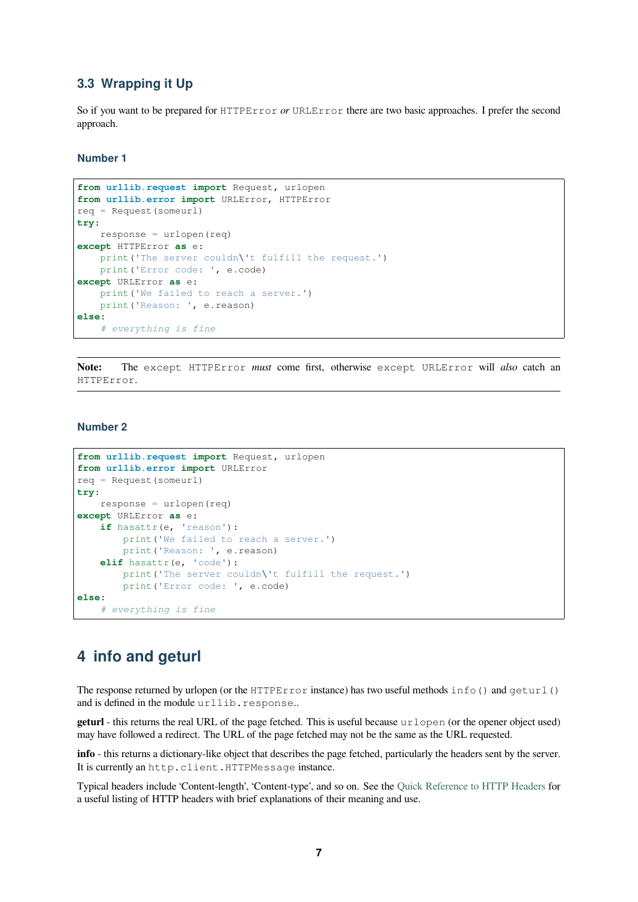#### **3.3 Wrapping it Up**

So if you want to be prepared for HTTPError *or* URLError there are two basic approaches. I prefer the second approach.

#### <span id="page-6-0"></span>**Number 1**

```
from urllib.request import Request, urlopen
from urllib.error import URLError, HTTPError
req = Request(someurl)
try:
   response = urlopen(req)except HTTPError as e:
   print('The server couldn\'t fulfill the request.')
   print('Error code: ', e.code)
except URLError as e:
   print('We failed to reach a server.')
   print('Reason: ', e.reason)
else:
    # everything is fine
```
**Note:** The except HTTPError *must* come first, otherwise except URLError will *also* catch an HTTPError.

#### **Number 2**

```
from urllib.request import Request, urlopen
from urllib.error import URLError
req = Request(someurl)
try:
   response = urlopen(req)
except URLError as e:
   if hasattr(e, 'reason'):
       print('We failed to reach a server.')
        print('Reason: ', e.reason)
    elif hasattr(e, 'code'):
        print('The server couldn\'t fulfill the request.')
        print('Error code: ', e.code)
else:
    # everything is fine
```
### **4 info and geturl**

<span id="page-6-1"></span>The response returned by urlopen (or the HTTPError instance) has two useful methods  $info()$  and  $geturl()$ and is defined in the module urllib.response..

**geturl** - this returns the real URL of the page fetched. This is useful because urlopen (or the opener object used) may have followed a redirect. The URL of the page fetched may not be the same as the URL requested.

**info** - this returns a dictionary-like object that describes the page fetched, particularly the headers sent by the server. It is currently an http.client.HTTPMessage instance.

Typical headers include 'Content-length', 'Content-type', and so on. See the Quick Reference to HTTP Headers for a useful listing of HTTP headers with brief explanations of their meaning and use.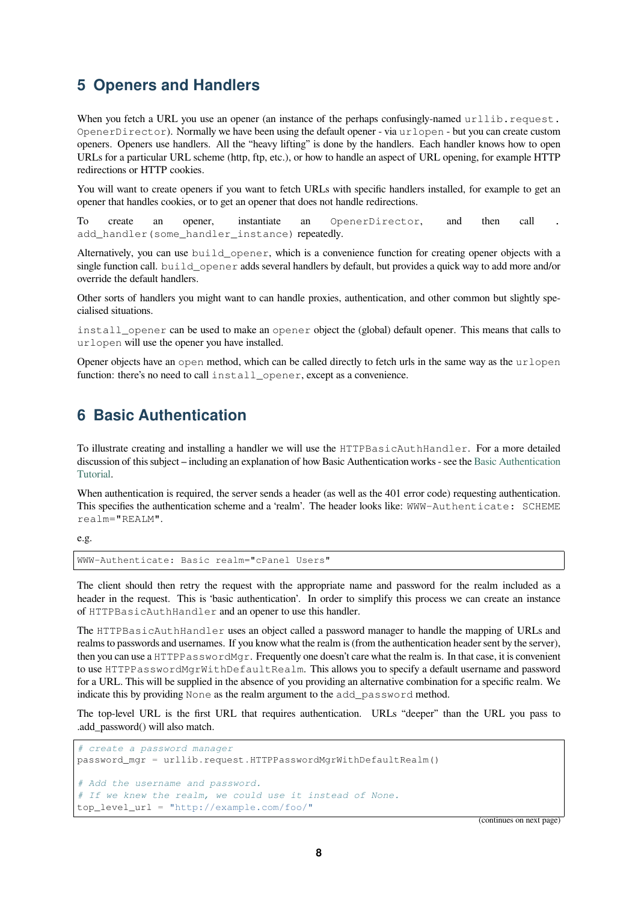### **5 Openers and Handlers**

<span id="page-7-0"></span>When you fetch a URL you use an opener (an instance of the perhaps confusingly-named urllib.request. OpenerDirector). Normally we have been using the default opener - via urlopen - but you can create custom openers. Openers use handlers. All the "heavy lifting" is done by the handlers. Each handler knows how to open URLs for a particular URL scheme (http, ftp, etc.), or how to handle an aspect of URL opening, for example HTTP redirections or HTTP cookies.

You will want to create openers if you want to fetch URLs with specific handlers installed, for example to get an opener that handles cookies, or to get an opener that does not handle redirections.

To create an opener, instantiate an OpenerDirector, and then call add handler(some handler instance) repeatedly.

Alternatively, you can use build\_opener, which is a convenience function for creating opener objects with a single function call. build\_opener adds several handlers by default, but provides a quick way to add more and/or override the default handlers.

Other sorts of handlers you might want to can handle proxies, authentication, and other common but slightly specialised situations.

install\_opener can be used to make an opener object the (global) default opener. This means that calls to urlopen will use the opener you have installed.

Opener objects have an open method, which can be called directly to fetch urls in the same way as the urlopen function: there's no need to call install\_opener, except as a convenience.

### **6 Basic Authentication**

<span id="page-7-1"></span>To illustrate creating and installing a handler we will use the HTTPBasicAuthHandler. For a more detailed discussion of this subject – including an explanation of how Basic Authentication works - see the Basic Authentication Tutorial.

When authentication is required, the server sends a header (as well as the 401 error code) requesting authentication. This specifies the authentication scheme and a 'realm'. The header looks like: WWW-Authen[ticate: SCHEME](http://www.voidspace.org.uk/python/articles/authentication.shtml) [realm=](http://www.voidspace.org.uk/python/articles/authentication.shtml)"REALM".

e.g.

WWW-Authenticate: Basic realm="cPanel Users"

The client should then retry the request with the appropriate name and password for the realm included as a header in the request. This is 'basic authentication'. In order to simplify this process we can create an instance of HTTPBasicAuthHandler and an opener to use this handler.

The HTTPBasicAuthHandler uses an object called a password manager to handle the mapping of URLs and realms to passwords and usernames. If you know what the realm is (from the authentication header sent by the server), then you can use a HTTPPasswordMgr. Frequently one doesn't care what the realm is. In that case, it is convenient to use HTTPPasswordMgrWithDefaultRealm. This allows you to specify a default username and password for a URL. This will be supplied in the absence of you providing an alternative combination for a specific realm. We indicate this by providing None as the realm argument to the add\_password method.

The top-level URL is the first URL that requires authentication. URLs "deeper" than the URL you pass to .add\_password() will also match.

```
# create a password manager
password_mgr = urllib.request.HTTPPasswordMgrWithDefaultRealm()
# Add the username and password.
# If we knew the realm, we could use it instead of None.
top_level_url = "http://example.com/foo/"
```
(continues on next page)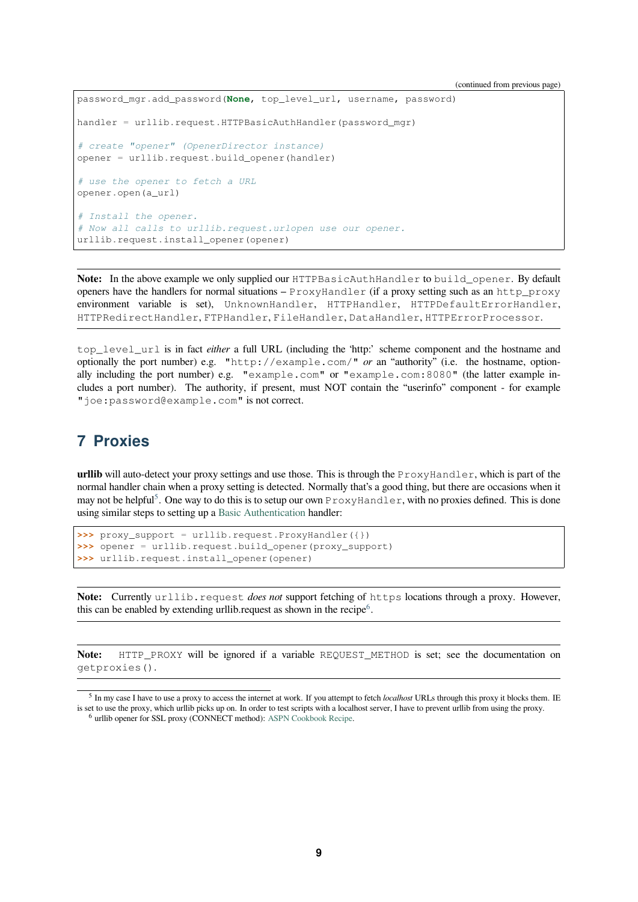```
password_mgr.add_password(None, top_level_url, username, password)
handler = urllib.request.HTTPBasicAuthHandler(password_mgr)
# create "opener" (OpenerDirector instance)
opener = urllib.request.build_opener(handler)
# use the opener to fetch a URL
opener.open(a_url)
# Install the opener.
# Now all calls to urllib.request.urlopen use our opener.
urllib.request.install_opener(opener)
```
Note: In the above example we only supplied our HTTPBasicAuthHandler to build\_opener. By default openers have the handlers for normal situations –  $Pfbox{rev}$  if a proxy setting such as an http\_proxy environment variable is set), UnknownHandler, HTTPHandler, HTTPDefaultErrorHandler, HTTPRedirectHandler, FTPHandler, FileHandler, DataHandler, HTTPErrorProcessor.

top\_level\_url is in fact *either* a full URL (including the 'http:' scheme component and the hostname and optionally the port number) e.g. "http://example.com/" *or* an "authority" (i.e. the hostname, optionally including the port number) e.g. "example.com" or "example.com:8080" (the latter example includes a port number). The authority, if present, must NOT contain the "userinfo" component - for example "joe:password@example.com" is not correct.

### **7 Proxies**

<span id="page-8-0"></span>**urllib** will auto-detect your proxy settings and use those. This is through the  $P_{T}$ oxyHandler, which is part of the normal handler chain when a proxy setting is detected. Normally that's a good thing, but there are occasions when it may not be helpful<sup>5</sup>. One way to do this is to setup our own ProxyHandler, with no proxies defined. This is done using similar steps to setting up a Basic Authentication handler:

```
>>> proxy_support = urllib.request.ProxyHandler({})
>>> opener = urllib.request.build_opener(proxy_support)
>>> urllib.request.install_opener(opener)
```
Note: Currently urllib.request *does not* support fetching of https locations through a proxy. However, this can be enabled by extending urllib.request as shown in the recipe $6$ .

**Note:** HTTP\_PROXY will be ignored if a variable REQUEST[\\_](#page-8-2)METHOD is set; see the documentation on getproxies().

<sup>&</sup>lt;sup>5</sup> In my case I have to use a proxy to access the internet at work. If you attempt to fetch *localhost* URLs through this proxy it blocks them. IE is set to use the proxy, which urllib picks up on. In order to test scripts with a localhost server, I have to prevent urllib from using the proxy.

<span id="page-8-2"></span><span id="page-8-1"></span><sup>6</sup> urllib opener for SSL proxy (CONNECT method): ASPN Cookbook Recipe.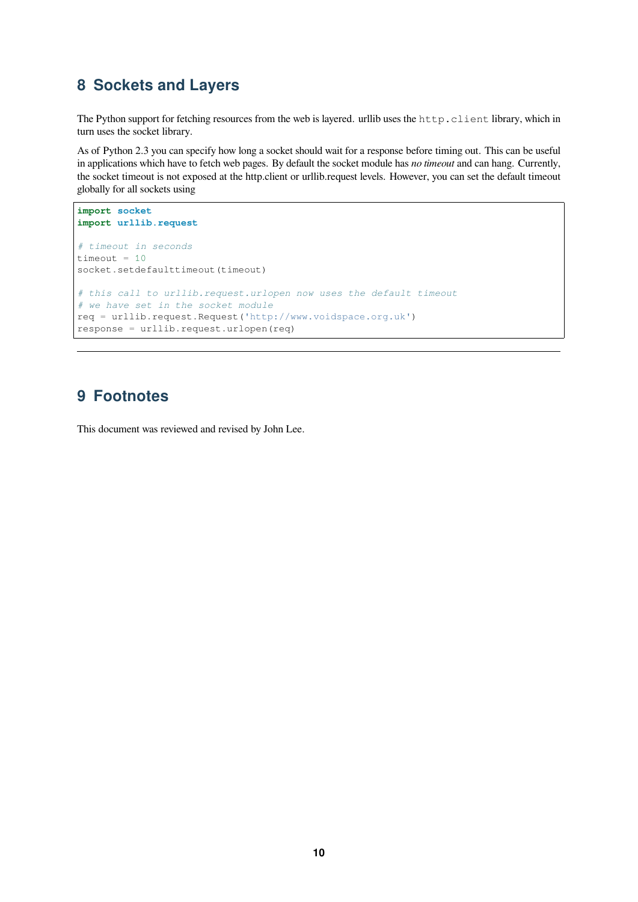### <span id="page-9-0"></span>**8 Sockets and Layers**

The Python support for fetching resources from the web is layered. urllib uses the http.client library, which in turn uses the socket library.

As of Python 2.3 you can specify how long a socket should wait for a response before timing out. This can be useful in applications which have to fetch web pages. By default the socket module has *no timeout* and can hang. Currently, the socket timeout is not exposed at the http.client or urllib.request levels. However, you can set the default timeout globally for all sockets using

```
import socket
import urllib.request
# timeout in seconds
timeout = 10socket.setdefaulttimeout(timeout)
# this call to urllib.request.urlopen now uses the default timeout
# we have set in the socket module
req = urllib.request.Request('http://www.voidspace.org.uk')
response = urllib.request.urlopen(req)
```
### **9 Footnotes**

This document was reviewed and revised by John Lee.